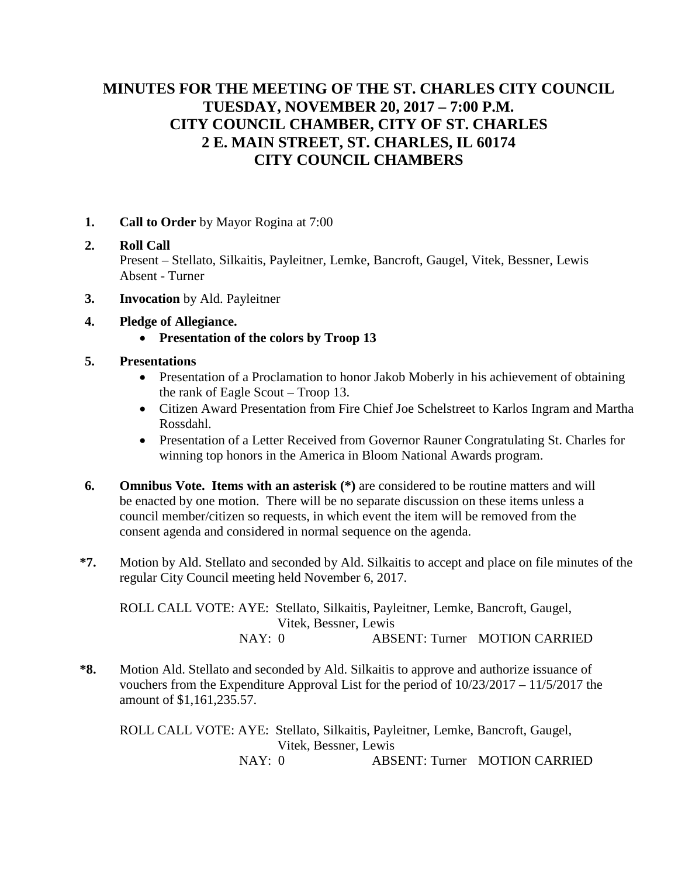# **MINUTES FOR THE MEETING OF THE ST. CHARLES CITY COUNCIL TUESDAY, NOVEMBER 20, 2017 – 7:00 P.M. CITY COUNCIL CHAMBER, CITY OF ST. CHARLES 2 E. MAIN STREET, ST. CHARLES, IL 60174 CITY COUNCIL CHAMBERS**

**1. Call to Order** by Mayor Rogina at 7:00

## **2. Roll Call** Present – Stellato, Silkaitis, Payleitner, Lemke, Bancroft, Gaugel, Vitek, Bessner, Lewis Absent - Turner

- **3. Invocation** by Ald. Payleitner
- **4. Pledge of Allegiance.**
	- **Presentation of the colors by Troop 13**
- **5. Presentations**
	- Presentation of a Proclamation to honor Jakob Moberly in his achievement of obtaining the rank of Eagle Scout – Troop 13.
	- Citizen Award Presentation from Fire Chief Joe Schelstreet to Karlos Ingram and Martha Rossdahl.
	- Presentation of a Letter Received from Governor Rauner Congratulating St. Charles for winning top honors in the America in Bloom National Awards program.
- **6. Omnibus Vote. Items with an asterisk (\*)** are considered to be routine matters and will be enacted by one motion. There will be no separate discussion on these items unless a council member/citizen so requests, in which event the item will be removed from the consent agenda and considered in normal sequence on the agenda.
- **\*7.** Motion by Ald. Stellato and seconded by Ald. Silkaitis to accept and place on file minutes of the regular City Council meeting held November 6, 2017.

ROLL CALL VOTE: AYE: Stellato, Silkaitis, Payleitner, Lemke, Bancroft, Gaugel, Vitek, Bessner, Lewis NAY: 0 ABSENT: Turner MOTION CARRIED

**\*8.** Motion Ald. Stellato and seconded by Ald. Silkaitis to approve and authorize issuance of vouchers from the Expenditure Approval List for the period of 10/23/2017 – 11/5/2017 the amount of \$1,161,235.57.

ROLL CALL VOTE: AYE: Stellato, Silkaitis, Payleitner, Lemke, Bancroft, Gaugel, Vitek, Bessner, Lewis NAY: 0 ABSENT: Turner MOTION CARRIED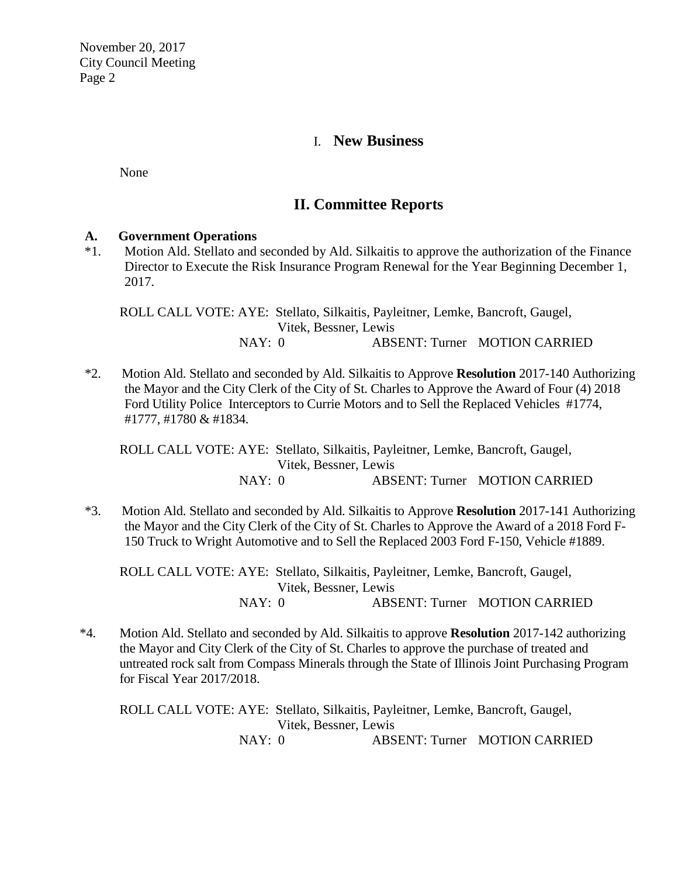## I. **New Business**

None

## **II. Committee Reports**

### **A. Government Operations**

\*1. Motion Ald. Stellato and seconded by Ald. Silkaitis to approve the authorization of the Finance Director to Execute the Risk Insurance Program Renewal for the Year Beginning December 1, 2017.

ROLL CALL VOTE: AYE: Stellato, Silkaitis, Payleitner, Lemke, Bancroft, Gaugel, Vitek, Bessner, Lewis NAY: 0 ABSENT: Turner MOTION CARRIED

\*2. Motion Ald. Stellato and seconded by Ald. Silkaitis to Approve **Resolution** 2017-140 Authorizing the Mayor and the City Clerk of the City of St. Charles to Approve the Award of Four (4) 2018 Ford Utility Police Interceptors to Currie Motors and to Sell the Replaced Vehicles #1774, #1777, #1780 & #1834.

ROLL CALL VOTE: AYE: Stellato, Silkaitis, Payleitner, Lemke, Bancroft, Gaugel, Vitek, Bessner, Lewis NAY: 0 ABSENT: Turner MOTION CARRIED

\*3. Motion Ald. Stellato and seconded by Ald. Silkaitis to Approve **Resolution** 2017-141 Authorizing the Mayor and the City Clerk of the City of St. Charles to Approve the Award of a 2018 Ford F-150 Truck to Wright Automotive and to Sell the Replaced 2003 Ford F-150, Vehicle #1889.

ROLL CALL VOTE: AYE: Stellato, Silkaitis, Payleitner, Lemke, Bancroft, Gaugel, Vitek, Bessner, Lewis NAY: 0 ABSENT: Turner MOTION CARRIED

\*4. Motion Ald. Stellato and seconded by Ald. Silkaitis to approve **Resolution** 2017-142 authorizing the Mayor and City Clerk of the City of St. Charles to approve the purchase of treated and untreated rock salt from Compass Minerals through the State of Illinois Joint Purchasing Program for Fiscal Year 2017/2018.

ROLL CALL VOTE: AYE: Stellato, Silkaitis, Payleitner, Lemke, Bancroft, Gaugel, Vitek, Bessner, Lewis NAY: 0 ABSENT: Turner MOTION CARRIED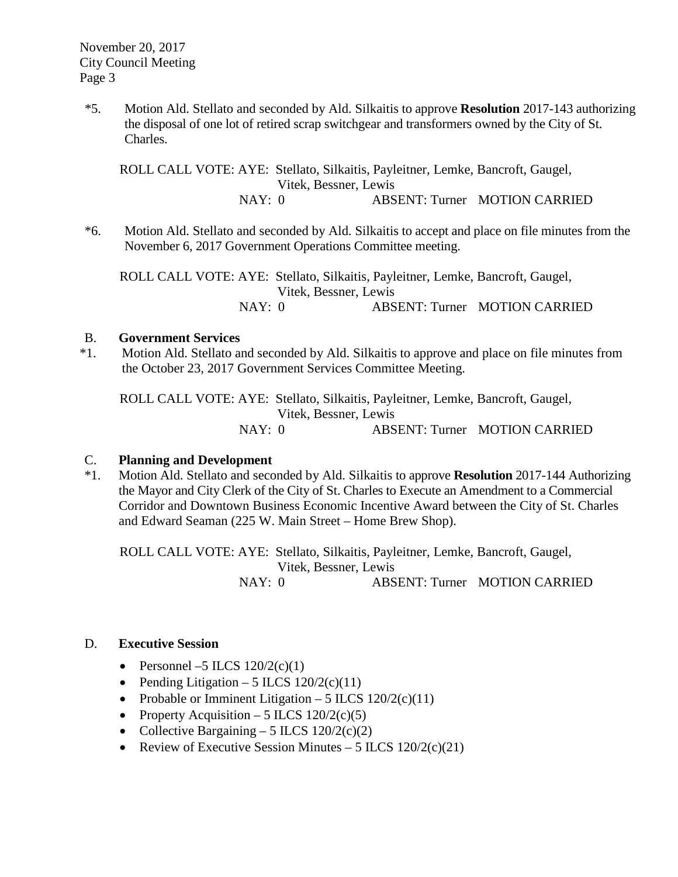\*5. Motion Ald. Stellato and seconded by Ald. Silkaitis to approve **Resolution** 2017-143 authorizing the disposal of one lot of retired scrap switchgear and transformers owned by the City of St. Charles.

ROLL CALL VOTE: AYE: Stellato, Silkaitis, Payleitner, Lemke, Bancroft, Gaugel, Vitek, Bessner, Lewis NAY: 0 ABSENT: Turner MOTION CARRIED

\*6. Motion Ald. Stellato and seconded by Ald. Silkaitis to accept and place on file minutes from the November 6, 2017 Government Operations Committee meeting.

ROLL CALL VOTE: AYE: Stellato, Silkaitis, Payleitner, Lemke, Bancroft, Gaugel, Vitek, Bessner, Lewis NAY: 0 ABSENT: Turner MOTION CARRIED

#### B. **Government Services**

\*1. Motion Ald. Stellato and seconded by Ald. Silkaitis to approve and place on file minutes from the October 23, 2017 Government Services Committee Meeting.

ROLL CALL VOTE: AYE: Stellato, Silkaitis, Payleitner, Lemke, Bancroft, Gaugel, Vitek, Bessner, Lewis NAY: 0 ABSENT: Turner MOTION CARRIED

### C. **Planning and Development**

\*1. Motion Ald. Stellato and seconded by Ald. Silkaitis to approve **Resolution** 2017-144 Authorizing the Mayor and City Clerk of the City of St. Charles to Execute an Amendment to a Commercial Corridor and Downtown Business Economic Incentive Award between the City of St. Charles and Edward Seaman (225 W. Main Street – Home Brew Shop).

ROLL CALL VOTE: AYE: Stellato, Silkaitis, Payleitner, Lemke, Bancroft, Gaugel, Vitek, Bessner, Lewis NAY: 0 ABSENT: Turner MOTION CARRIED

#### D. **Executive Session**

- Personnel –5 ILCS  $120/2(c)(1)$
- Pending Litigation 5 ILCS  $120/2(c)(11)$
- Probable or Imminent Litigation 5 ILCS  $120/2(c)(11)$
- Property Acquisition 5 ILCS  $120/2(c)(5)$
- Collective Bargaining 5 ILCS  $120/2(c)(2)$
- Review of Executive Session Minutes 5 ILCS  $120/2(c)(21)$